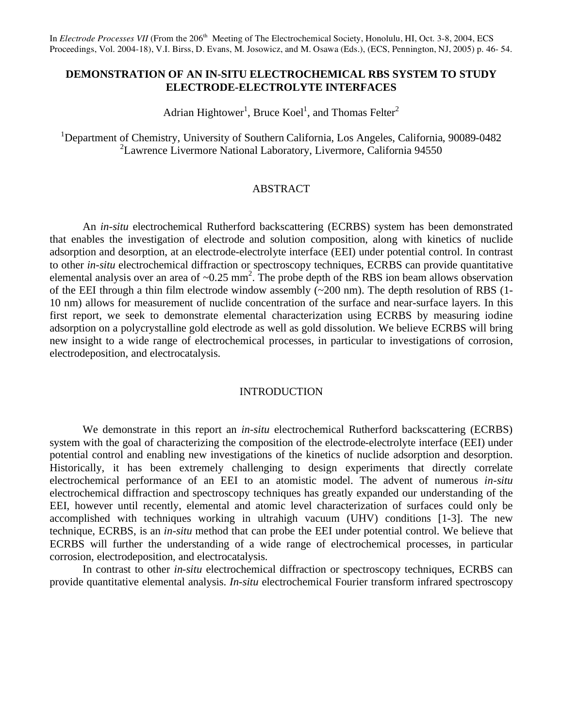In *Electrode Processes VII* (From the 206<sup>th</sup> Meeting of The Electrochemical Society, Honolulu, HI, Oct. 3-8, 2004, ECS Proceedings, Vol. 2004-18), V.I. Birss, D. Evans, M. Josowicz, and M. Osawa (Eds.), (ECS, Pennington, NJ, 2005) p. 46- 54.

# **DEMONSTRATION OF AN IN-SITU ELECTROCHEMICAL RBS SYSTEM TO STUDY ELECTRODE-ELECTROLYTE INTERFACES**

Adrian Hightower<sup>1</sup>, Bruce Koel<sup>1</sup>, and Thomas Felter<sup>2</sup>

<sup>1</sup>Department of Chemistry, University of Southern California, Los Angeles, California, 90089-0482 2 Lawrence Livermore National Laboratory, Livermore, California 94550

### ABSTRACT

An *in-situ* electrochemical Rutherford backscattering (ECRBS) system has been demonstrated that enables the investigation of electrode and solution composition, along with kinetics of nuclide adsorption and desorption, at an electrode-electrolyte interface (EEI) under potential control. In contrast to other *in-situ* electrochemical diffraction or spectroscopy techniques, ECRBS can provide quantitative elemental analysis over an area of  $\sim 0.25$  mm<sup>2</sup>. The probe depth of the RBS ion beam allows observation of the EEI through a thin film electrode window assembly (~200 nm). The depth resolution of RBS (1- 10 nm) allows for measurement of nuclide concentration of the surface and near-surface layers. In this first report, we seek to demonstrate elemental characterization using ECRBS by measuring iodine adsorption on a polycrystalline gold electrode as well as gold dissolution. We believe ECRBS will bring new insight to a wide range of electrochemical processes, in particular to investigations of corrosion, electrodeposition, and electrocatalysis.

# INTRODUCTION

We demonstrate in this report an *in-situ* electrochemical Rutherford backscattering (ECRBS) system with the goal of characterizing the composition of the electrode-electrolyte interface (EEI) under potential control and enabling new investigations of the kinetics of nuclide adsorption and desorption. Historically, it has been extremely challenging to design experiments that directly correlate electrochemical performance of an EEI to an atomistic model. The advent of numerous *in-situ* electrochemical diffraction and spectroscopy techniques has greatly expanded our understanding of the EEI, however until recently, elemental and atomic level characterization of surfaces could only be accomplished with techniques working in ultrahigh vacuum (UHV) conditions [1-3]. The new technique, ECRBS, is an *in-situ* method that can probe the EEI under potential control. We believe that ECRBS will further the understanding of a wide range of electrochemical processes, in particular corrosion, electrodeposition, and electrocatalysis.

In contrast to other *in-situ* electrochemical diffraction or spectroscopy techniques, ECRBS can provide quantitative elemental analysis. *In-situ* electrochemical Fourier transform infrared spectroscopy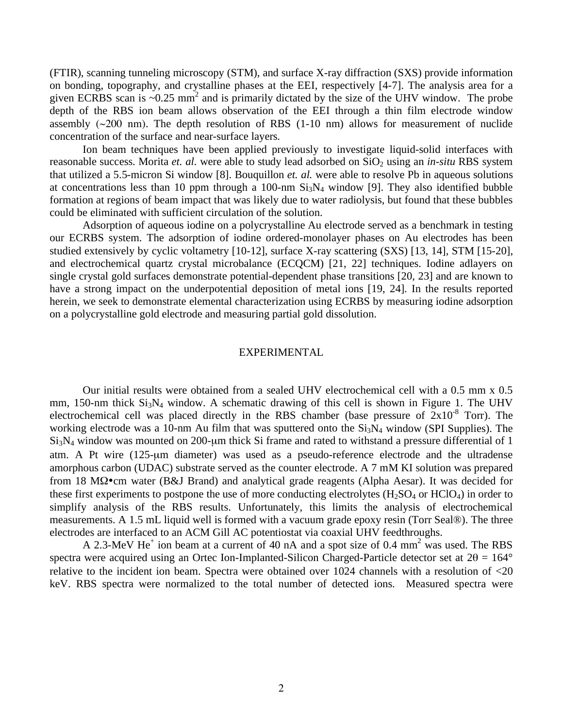(FTIR), scanning tunneling microscopy (STM), and surface X-ray diffraction (SXS) provide information on bonding, topography, and crystalline phases at the EEI, respectively [4-7]. The analysis area for a given ECRBS scan is  $\sim 0.25$  mm<sup>2</sup> and is primarily dictated by the size of the UHV window. The probe depth of the RBS ion beam allows observation of the EEI through a thin film electrode window assembly  $(\sim 200 \text{ nm})$ . The depth resolution of RBS  $(1-10 \text{ nm})$  allows for measurement of nuclide concentration of the surface and near-surface layers.

 Ion beam techniques have been applied previously to investigate liquid-solid interfaces with reasonable success. Morita *et. al.* were able to study lead adsorbed on SiO<sub>2</sub> using an *in-situ* RBS system that utilized a 5.5-micron Si window [8]. Bouquillon *et. al.* were able to resolve Pb in aqueous solutions at concentrations less than 10 ppm through a 100-nm  $Si<sub>3</sub>N<sub>4</sub>$  window [9]. They also identified bubble formation at regions of beam impact that was likely due to water radiolysis, but found that these bubbles could be eliminated with sufficient circulation of the solution.

Adsorption of aqueous iodine on a polycrystalline Au electrode served as a benchmark in testing our ECRBS system. The adsorption of iodine ordered-monolayer phases on Au electrodes has been studied extensively by cyclic voltametry [10-12], surface X-ray scattering (SXS) [13, 14], STM [15-20], and electrochemical quartz crystal microbalance (ECQCM) [21, 22] techniques. Iodine adlayers on single crystal gold surfaces demonstrate potential-dependent phase transitions [20, 23] and are known to have a strong impact on the underpotential deposition of metal ions [19, 24]. In the results reported herein, we seek to demonstrate elemental characterization using ECRBS by measuring iodine adsorption on a polycrystalline gold electrode and measuring partial gold dissolution.

#### EXPERIMENTAL

Our initial results were obtained from a sealed UHV electrochemical cell with a 0.5 mm x 0.5 mm, 150-nm thick  $Si<sub>3</sub>N<sub>4</sub>$  window. A schematic drawing of this cell is shown in Figure 1. The UHV electrochemical cell was placed directly in the RBS chamber (base pressure of  $2x10^{-8}$  Torr). The working electrode was a 10-nm Au film that was sputtered onto the  $Si<sub>3</sub>N<sub>4</sub>$  window (SPI Supplies). The Si3N4 window was mounted on 200-μm thick Si frame and rated to withstand a pressure differential of 1 atm. A Pt wire (125-μm diameter) was used as a pseudo-reference electrode and the ultradense amorphous carbon (UDAC) substrate served as the counter electrode. A 7 mM KI solution was prepared from 18 M $\Omega$ •cm water (B&J Brand) and analytical grade reagents (Alpha Aesar). It was decided for these first experiments to postpone the use of more conducting electrolytes  $(H_2SO_4)$  or  $HClO_4$ ) in order to simplify analysis of the RBS results. Unfortunately, this limits the analysis of electrochemical measurements. A 1.5 mL liquid well is formed with a vacuum grade epoxy resin (Torr Seal®). The three electrodes are interfaced to an ACM Gill AC potentiostat via coaxial UHV feedthroughs.

A 2.3-MeV He<sup>+</sup> ion beam at a current of 40 nA and a spot size of 0.4 mm<sup>2</sup> was used. The RBS spectra were acquired using an Ortec Ion-Implanted-Silicon Charged-Particle detector set at  $2\theta = 164^{\circ}$ relative to the incident ion beam. Spectra were obtained over 1024 channels with a resolution of <20 keV. RBS spectra were normalized to the total number of detected ions. Measured spectra were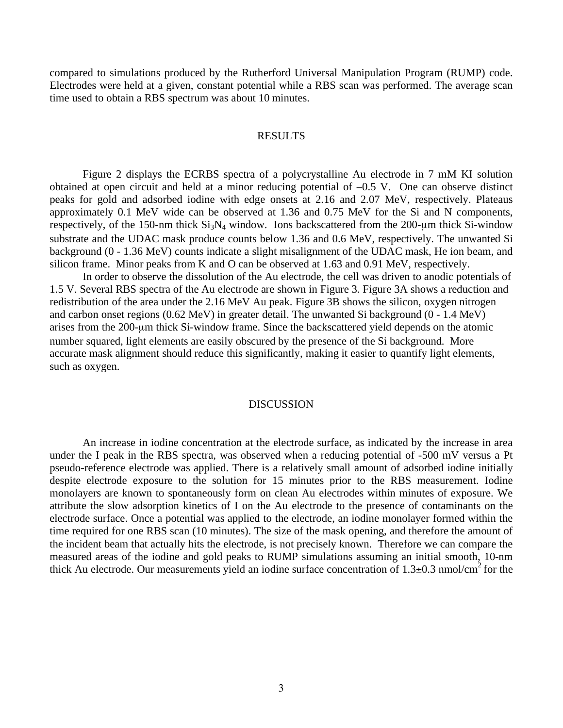compared to simulations produced by the Rutherford Universal Manipulation Program (RUMP) code. Electrodes were held at a given, constant potential while a RBS scan was performed. The average scan time used to obtain a RBS spectrum was about 10 minutes.

### RESULTS

Figure 2 displays the ECRBS spectra of a polycrystalline Au electrode in 7 mM KI solution obtained at open circuit and held at a minor reducing potential of –0.5 V. One can observe distinct peaks for gold and adsorbed iodine with edge onsets at 2.16 and 2.07 MeV, respectively. Plateaus approximately 0.1 MeV wide can be observed at 1.36 and 0.75 MeV for the Si and N components, respectively, of the 150-nm thick  $Si<sub>3</sub>N<sub>4</sub>$  window. Ions backscattered from the 200-µm thick Si-window substrate and the UDAC mask produce counts below 1.36 and 0.6 MeV, respectively. The unwanted Si background (0 - 1.36 MeV) counts indicate a slight misalignment of the UDAC mask, He ion beam, and silicon frame. Minor peaks from K and O can be observed at 1.63 and 0.91 MeV, respectively.

In order to observe the dissolution of the Au electrode, the cell was driven to anodic potentials of 1.5 V. Several RBS spectra of the Au electrode are shown in Figure 3. Figure 3A shows a reduction and redistribution of the area under the 2.16 MeV Au peak. Figure 3B shows the silicon, oxygen nitrogen and carbon onset regions (0.62 MeV) in greater detail. The unwanted Si background (0 - 1.4 MeV) arises from the 200-μm thick Si-window frame. Since the backscattered yield depends on the atomic number squared, light elements are easily obscured by the presence of the Si background. More accurate mask alignment should reduce this significantly, making it easier to quantify light elements, such as oxygen.

## DISCUSSION

An increase in iodine concentration at the electrode surface, as indicated by the increase in area under the I peak in the RBS spectra, was observed when a reducing potential of -500 mV versus a Pt pseudo-reference electrode was applied. There is a relatively small amount of adsorbed iodine initially despite electrode exposure to the solution for 15 minutes prior to the RBS measurement. Iodine monolayers are known to spontaneously form on clean Au electrodes within minutes of exposure. We attribute the slow adsorption kinetics of I on the Au electrode to the presence of contaminants on the electrode surface. Once a potential was applied to the electrode, an iodine monolayer formed within the time required for one RBS scan (10 minutes). The size of the mask opening, and therefore the amount of the incident beam that actually hits the electrode, is not precisely known. Therefore we can compare the measured areas of the iodine and gold peaks to RUMP simulations assuming an initial smooth, 10-nm thick Au electrode. Our measurements yield an iodine surface concentration of  $1.3\pm0.3$  nmol/cm<sup>2</sup> for the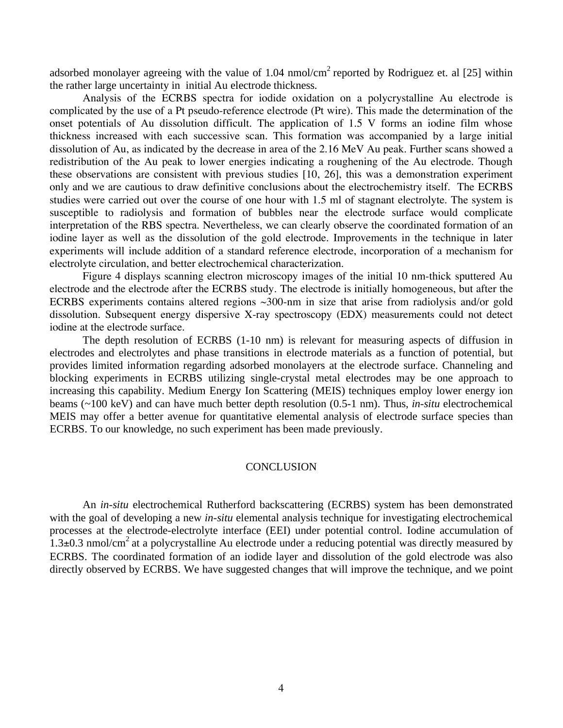adsorbed monolayer agreeing with the value of  $1.04 \text{ nmol/cm}^2$  reported by Rodriguez et. al [25] within the rather large uncertainty in initial Au electrode thickness.

Analysis of the ECRBS spectra for iodide oxidation on a polycrystalline Au electrode is complicated by the use of a Pt pseudo-reference electrode (Pt wire). This made the determination of the onset potentials of Au dissolution difficult. The application of 1.5 V forms an iodine film whose thickness increased with each successive scan. This formation was accompanied by a large initial dissolution of Au, as indicated by the decrease in area of the 2.16 MeV Au peak. Further scans showed a redistribution of the Au peak to lower energies indicating a roughening of the Au electrode. Though these observations are consistent with previous studies [10, 26], this was a demonstration experiment only and we are cautious to draw definitive conclusions about the electrochemistry itself. The ECRBS studies were carried out over the course of one hour with 1.5 ml of stagnant electrolyte. The system is susceptible to radiolysis and formation of bubbles near the electrode surface would complicate interpretation of the RBS spectra. Nevertheless, we can clearly observe the coordinated formation of an iodine layer as well as the dissolution of the gold electrode. Improvements in the technique in later experiments will include addition of a standard reference electrode, incorporation of a mechanism for electrolyte circulation, and better electrochemical characterization.

Figure 4 displays scanning electron microscopy images of the initial 10 nm-thick sputtered Au electrode and the electrode after the ECRBS study. The electrode is initially homogeneous, but after the ECRBS experiments contains altered regions ~300-nm in size that arise from radiolysis and/or gold dissolution. Subsequent energy dispersive X-ray spectroscopy (EDX) measurements could not detect iodine at the electrode surface.

The depth resolution of ECRBS (1-10 nm) is relevant for measuring aspects of diffusion in electrodes and electrolytes and phase transitions in electrode materials as a function of potential, but provides limited information regarding adsorbed monolayers at the electrode surface. Channeling and blocking experiments in ECRBS utilizing single-crystal metal electrodes may be one approach to increasing this capability. Medium Energy Ion Scattering (MEIS) techniques employ lower energy ion beams (~100 keV) and can have much better depth resolution (0.5-1 nm). Thus, *in-situ* electrochemical MEIS may offer a better avenue for quantitative elemental analysis of electrode surface species than ECRBS. To our knowledge, no such experiment has been made previously.

#### **CONCLUSION**

An *in-situ* electrochemical Rutherford backscattering (ECRBS) system has been demonstrated with the goal of developing a new *in-situ* elemental analysis technique for investigating electrochemical processes at the electrode-electrolyte interface (EEI) under potential control. Iodine accumulation of 1.3 $\pm$ 0.3 nmol/cm<sup>2</sup> at a polycrystalline Au electrode under a reducing potential was directly measured by ECRBS. The coordinated formation of an iodide layer and dissolution of the gold electrode was also directly observed by ECRBS. We have suggested changes that will improve the technique, and we point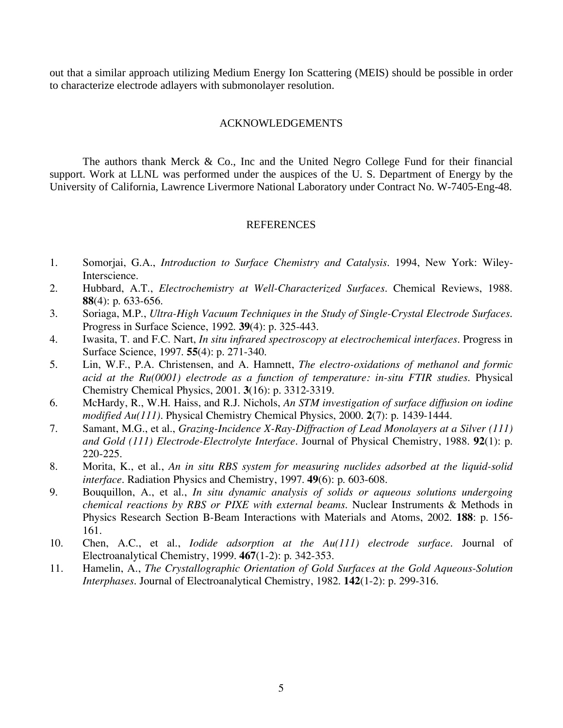out that a similar approach utilizing Medium Energy Ion Scattering (MEIS) should be possible in order to characterize electrode adlayers with submonolayer resolution.

## ACKNOWLEDGEMENTS

The authors thank Merck & Co., Inc and the United Negro College Fund for their financial support. Work at LLNL was performed under the auspices of the U. S. Department of Energy by the University of California, Lawrence Livermore National Laboratory under Contract No. W-7405-Eng-48.

#### REFERENCES

- 1. Somorjai, G.A., *Introduction to Surface Chemistry and Catalysis*. 1994, New York: Wiley-Interscience.
- 2. Hubbard, A.T., *Electrochemistry at Well-Characterized Surfaces.* Chemical Reviews, 1988. **88**(4): p. 633-656.
- 3. Soriaga, M.P., *Ultra-High Vacuum Techniques in the Study of Single-Crystal Electrode Surfaces.* Progress in Surface Science, 1992. **39**(4): p. 325-443.
- 4. Iwasita, T. and F.C. Nart, *In situ infrared spectroscopy at electrochemical interfaces.* Progress in Surface Science, 1997. **55**(4): p. 271-340.
- 5. Lin, W.F., P.A. Christensen, and A. Hamnett, *The electro-oxidations of methanol and formic acid at the Ru(0001) electrode as a function of temperature: in-situ FTIR studies.* Physical Chemistry Chemical Physics, 2001. **3**(16): p. 3312-3319.
- 6. McHardy, R., W.H. Haiss, and R.J. Nichols, *An STM investigation of surface diffusion on iodine modified Au(111).* Physical Chemistry Chemical Physics, 2000. **2**(7): p. 1439-1444.
- 7. Samant, M.G., et al., *Grazing-Incidence X-Ray-Diffraction of Lead Monolayers at a Silver (111) and Gold (111) Electrode-Electrolyte Interface.* Journal of Physical Chemistry, 1988. **92**(1): p. 220-225.
- 8. Morita, K., et al., *An in situ RBS system for measuring nuclides adsorbed at the liquid-solid interface.* Radiation Physics and Chemistry, 1997. **49**(6): p. 603-608.
- 9. Bouquillon, A., et al., *In situ dynamic analysis of solids or aqueous solutions undergoing chemical reactions by RBS or PIXE with external beams.* Nuclear Instruments & Methods in Physics Research Section B-Beam Interactions with Materials and Atoms, 2002. **188**: p. 156- 161.
- 10. Chen, A.C., et al., *Iodide adsorption at the Au(111) electrode surface.* Journal of Electroanalytical Chemistry, 1999. **467**(1-2): p. 342-353.
- 11. Hamelin, A., *The Crystallographic Orientation of Gold Surfaces at the Gold Aqueous-Solution Interphases.* Journal of Electroanalytical Chemistry, 1982. **142**(1-2): p. 299-316.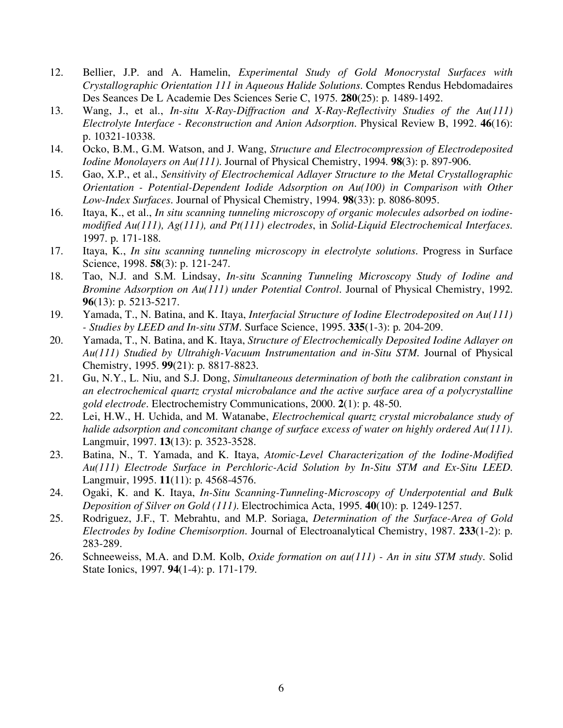- 12. Bellier, J.P. and A. Hamelin, *Experimental Study of Gold Monocrystal Surfaces with Crystallographic Orientation 111 in Aqueous Halide Solutions.* Comptes Rendus Hebdomadaires Des Seances De L Academie Des Sciences Serie C, 1975. **280**(25): p. 1489-1492.
- 13. Wang, J., et al., *In-situ X-Ray-Diffraction and X-Ray-Reflectivity Studies of the Au(111) Electrolyte Interface - Reconstruction and Anion Adsorption.* Physical Review B, 1992. **46**(16): p. 10321-10338.
- 14. Ocko, B.M., G.M. Watson, and J. Wang, *Structure and Electrocompression of Electrodeposited Iodine Monolayers on Au(111).* Journal of Physical Chemistry, 1994. **98**(3): p. 897-906.
- 15. Gao, X.P., et al., *Sensitivity of Electrochemical Adlayer Structure to the Metal Crystallographic Orientation - Potential-Dependent Iodide Adsorption on Au(100) in Comparison with Other Low-Index Surfaces.* Journal of Physical Chemistry, 1994. **98**(33): p. 8086-8095.
- 16. Itaya, K., et al., *In situ scanning tunneling microscopy of organic molecules adsorbed on iodinemodified Au(111), Ag(111), and Pt(111) electrodes*, in *Solid-Liquid Electrochemical Interfaces*. 1997. p. 171-188.
- 17. Itaya, K., *In situ scanning tunneling microscopy in electrolyte solutions.* Progress in Surface Science, 1998. **58**(3): p. 121-247.
- 18. Tao, N.J. and S.M. Lindsay, *In-situ Scanning Tunneling Microscopy Study of Iodine and Bromine Adsorption on Au(111) under Potential Control.* Journal of Physical Chemistry, 1992. **96**(13): p. 5213-5217.
- 19. Yamada, T., N. Batina, and K. Itaya, *Interfacial Structure of Iodine Electrodeposited on Au(111) - Studies by LEED and In-situ STM.* Surface Science, 1995. **335**(1-3): p. 204-209.
- 20. Yamada, T., N. Batina, and K. Itaya, *Structure of Electrochemically Deposited Iodine Adlayer on Au(111) Studied by Ultrahigh-Vacuum Instrumentation and in-Situ STM.* Journal of Physical Chemistry, 1995. **99**(21): p. 8817-8823.
- 21. Gu, N.Y., L. Niu, and S.J. Dong, *Simultaneous determination of both the calibration constant in an electrochemical quartz crystal microbalance and the active surface area of a polycrystalline gold electrode.* Electrochemistry Communications, 2000. **2**(1): p. 48-50.
- 22. Lei, H.W., H. Uchida, and M. Watanabe, *Electrochemical quartz crystal microbalance study of halide adsorption and concomitant change of surface excess of water on highly ordered Au(111).* Langmuir, 1997. **13**(13): p. 3523-3528.
- 23. Batina, N., T. Yamada, and K. Itaya, *Atomic-Level Characterization of the Iodine-Modified Au(111) Electrode Surface in Perchloric-Acid Solution by In-Situ STM and Ex-Situ LEED.* Langmuir, 1995. **11**(11): p. 4568-4576.
- 24. Ogaki, K. and K. Itaya, *In-Situ Scanning-Tunneling-Microscopy of Underpotential and Bulk Deposition of Silver on Gold (111).* Electrochimica Acta, 1995. **40**(10): p. 1249-1257.
- 25. Rodriguez, J.F., T. Mebrahtu, and M.P. Soriaga, *Determination of the Surface-Area of Gold Electrodes by Iodine Chemisorption.* Journal of Electroanalytical Chemistry, 1987. **233**(1-2): p. 283-289.
- 26. Schneeweiss, M.A. and D.M. Kolb, *Oxide formation on au(111) An in situ STM study.* Solid State Ionics, 1997. **94**(1-4): p. 171-179.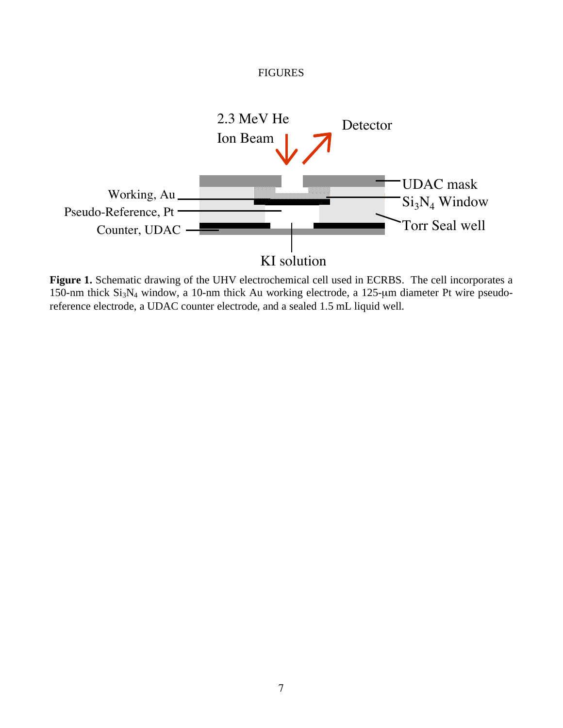

**Figure 1.** Schematic drawing of the UHV electrochemical cell used in ECRBS. The cell incorporates a 150-nm thick Si3N4 window, a 10-nm thick Au working electrode, a 125-μm diameter Pt wire pseudoreference electrode, a UDAC counter electrode, and a sealed 1.5 mL liquid well.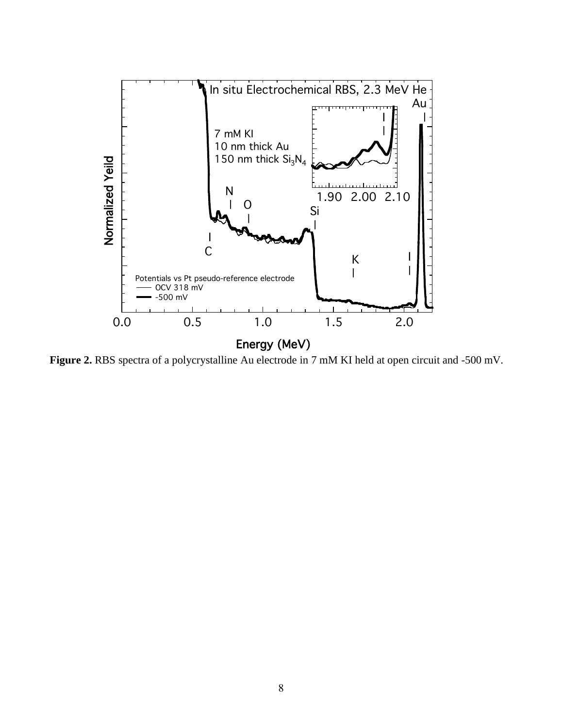

**Figure 2.** RBS spectra of a polycrystalline Au electrode in 7 mM KI held at open circuit and -500 mV.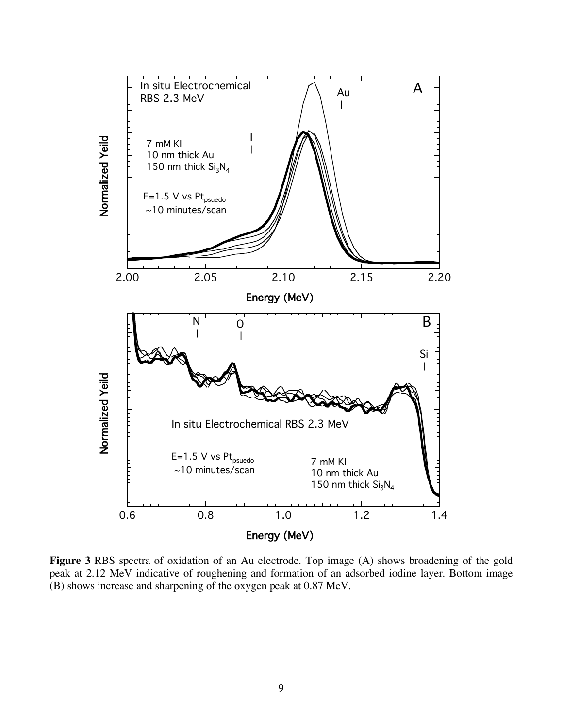

**Figure 3** RBS spectra of oxidation of an Au electrode. Top image (A) shows broadening of the gold peak at 2.12 MeV indicative of roughening and formation of an adsorbed iodine layer. Bottom image (B) shows increase and sharpening of the oxygen peak at 0.87 MeV.